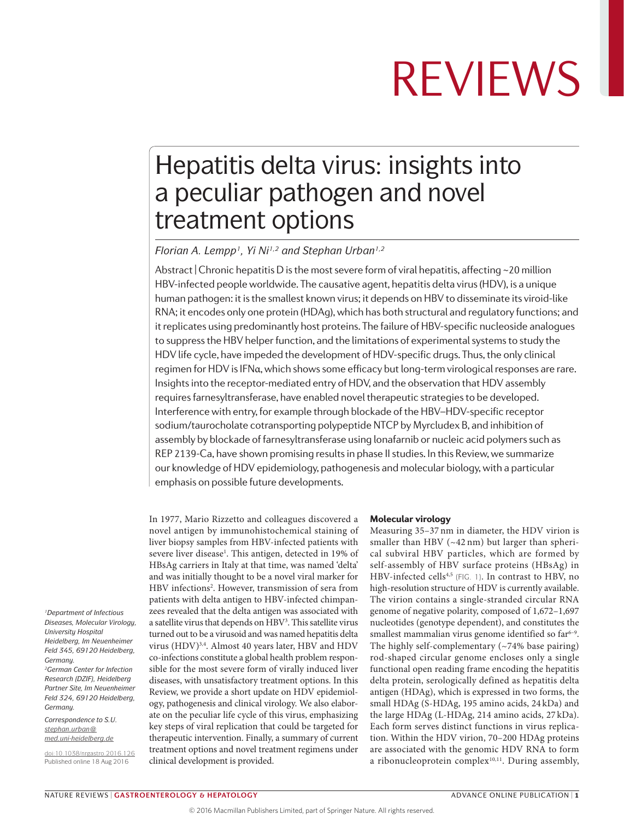## Hepatitis delta virus: insights into a peculiar pathogen and novel treatment options

*Florian A. Lempp1, Yi Ni1,2 and Stephan Urban1,2*

Abstract | Chronic hepatitis D is the most severe form of viral hepatitis, affecting  $\sim$  20 million HBV-infected people worldwide. The causative agent, hepatitis delta virus (HDV), is a unique human pathogen: it is the smallest known virus; it depends on HBV to disseminate its viroid-like RNA; it encodes only one protein (HDAg), which has both structural and regulatory functions; and it replicates using predominantly host proteins. The failure of HBV-specific nucleoside analogues to suppress the HBV helper function, and the limitations of experimental systems to study the HDV life cycle, have impeded the development of HDV-specific drugs. Thus, the only clinical regimen for HDV is IFNα, which shows some efficacy but long-term virological responses are rare. Insights into the receptor-mediated entry of HDV, and the observation that HDV assembly requires farnesyltransferase, have enabled novel therapeutic strategies to be developed. Interference with entry, for example through blockade of the HBV–HDV-specific receptor sodium/taurocholate cotransporting polypeptide NTCP by Myrcludex B, and inhibition of assembly by blockade of farnesyltransferase using lonafarnib or nucleic acid polymers such as REP 2139‑Ca, have shown promising results in phase II studies. In this Review, we summarize our knowledge of HDV epidemiology, pathogenesis and molecular biology, with a particular emphasis on possible future developments.

In 1977, Mario Rizzetto and colleagues discovered a novel antigen by immunohistochemical staining of liver biopsy samples from HBV-infected patients with severe liver disease<sup>1</sup>. This antigen, detected in 19% of HBsAg carriers in Italy at that time, was named 'delta' and was initially thought to be a novel viral marker for HBV infections2 . However, transmission of sera from patients with delta antigen to HBV-infected chimpanzees revealed that the delta antigen was associated with a satellite virus that depends on HBV3 . This satellite virus turned out to be a virusoid and was named hepatitis delta virus (HDV)<sup>3,4</sup>. Almost 40 years later, HBV and HDV co-infections constitute a global health problem responsible for the most severe form of virally induced liver diseases, with unsatisfactory treatment options. In this Review, we provide a short update on HDV epidemiology, pathogenesis and clinical virology. We also elaborate on the peculiar life cycle of this virus, emphasizing key steps of viral replication that could be targeted for therapeutic intervention. Finally, a summary of current treatment options and novel treatment regimens under clinical development is provided.

#### Molecular virology

Measuring 35–37 nm in diameter, the HDV virion is smaller than HBV (~42 nm) but larger than spherical subviral HBV particles, which are formed by self-assembly of HBV surface proteins (HBsAg) in HBV-infected cells<sup>4,5</sup> (FIG. 1). In contrast to HBV, no high-resolution structure of HDV is currently available. The virion contains a single-stranded circular RNA genome of negative polarity, composed of 1,672–1,697 nucleotides (genotype dependent), and constitutes the smallest mammalian virus genome identified so far<sup>6-9</sup>. The highly self-complementary (~74% base pairing) rod-shaped circular genome encloses only a single functional open reading frame encoding the hepatitis delta protein, serologically defined as hepatitis delta antigen (HDAg), which is expressed in two forms, the small HDAg (S-HDAg, 195 amino acids, 24 kDa) and the large HDAg (L-HDAg, 214 amino acids, 27 kDa). Each form serves distinct functions in virus replication. Within the HDV virion, 70–200 HDAg proteins are associated with the genomic HDV RNA to form a ribonucleoprotein complex<sup>10,11</sup>. During assembly,

*1Department of Infectious Diseases, Molecular Virology, University Hospital Heidelberg, Im Neuenheimer Feld 345, 69120 Heidelberg, Germany. 2German Center for Infection Research (DZIF), Heidelberg Partner Site, Im Neuenheimer Feld 324, 69120 Heidelberg, Germany.*

*Correspondence to S.U. [stephan.urban@](mailto:stephan.urban@med.uni-heidelberg.de) [med.uni-heidelberg.de](mailto:stephan.urban@med.uni-heidelberg.de)*

[doi:10.1038/nrgastro.2016.126](http://dx.doi.org/10.1038/nrgastro.2016.126) Published online 18 Aug 2016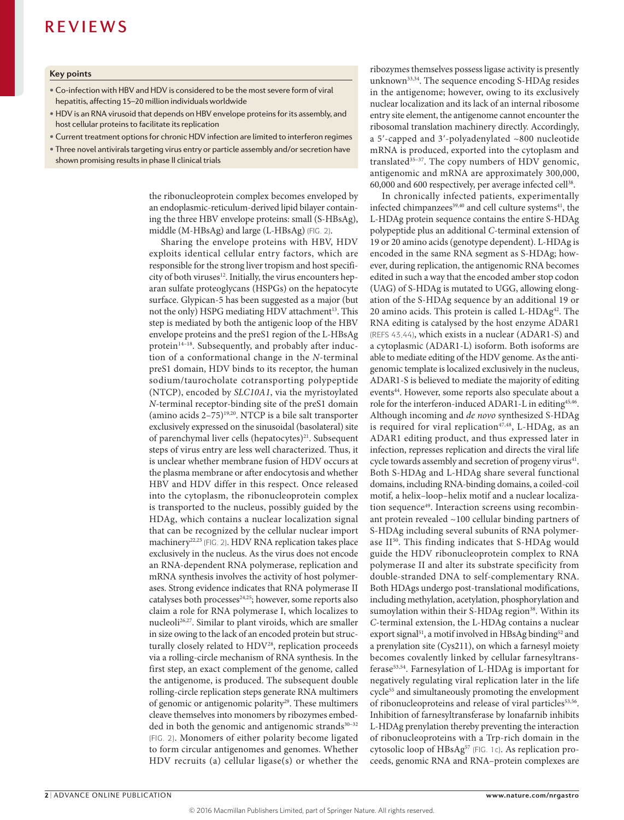#### **Key points**

- Co‑infection with HBV and HDV is considered to be the most severe form of viral hepatitis, affecting 15–20 million individuals worldwide
- HDV is an RNA virusoid that depends on HBV envelope proteins for its assembly, and host cellular proteins to facilitate its replication
- Current treatment options for chronic HDV infection are limited to interferon regimes
- Three novel antivirals targeting virus entry or particle assembly and/or secretion have
- shown promising results in phase II clinical trials

the ribonucleoprotein complex becomes enveloped by an endoplasmic-reticulum-derived lipid bilayer containing the three HBV envelope proteins: small (S-HBsAg), middle (M-HBsAg) and large (L-HBsAg) (FIG. 2).

Sharing the envelope proteins with HBV, HDV exploits identical cellular entry factors, which are responsible for the strong liver tropism and host specificity of both viruses<sup>12</sup>. Initially, the virus encounters heparan sulfate proteoglycans (HSPGs) on the hepatocyte surface. Glypican-5 has been suggested as a major (but not the only) HSPG mediating HDV attachment<sup>13</sup>. This step is mediated by both the antigenic loop of the HBV envelope proteins and the preS1 region of the L-HBsAg protein<sup>14-18</sup>. Subsequently, and probably after induction of a conformational change in the *N*-terminal preS1 domain, HDV binds to its receptor, the human sodium/taurocholate cotransporting polypeptide (NTCP), encoded by *SLC10A1*, via the myristoylated *N*-terminal receptor-binding site of the preS1 domain (amino acids  $2-75$ )<sup>19,20</sup>. NTCP is a bile salt transporter exclusively expressed on the sinusoidal (basolateral) site of parenchymal liver cells (hepatocytes)<sup>21</sup>. Subsequent steps of virus entry are less well characterized. Thus, it is unclear whether membrane fusion of HDV occurs at the plasma membrane or after endocytosis and whether HBV and HDV differ in this respect. Once released into the cytoplasm, the ribonucleoprotein complex is transported to the nucleus, possibly guided by the HDAg, which contains a nuclear localization signal that can be recognized by the cellular nuclear import machinery<sup>22,23</sup> (FIG. 2). HDV RNA replication takes place exclusively in the nucleus. As the virus does not encode an RNA-dependent RNA polymerase, replication and mRNA synthesis involves the activity of host polymerases. Strong evidence indicates that RNA polymerase II catalyses both processes<sup>24,25</sup>; however, some reports also claim a role for RNA polymerase I, which localizes to nucleoli26,27. Similar to plant viroids, which are smaller in size owing to the lack of an encoded protein but structurally closely related to HDV<sup>28</sup>, replication proceeds via a rolling-circle mechanism of RNA synthesis. In the first step, an exact complement of the genome, called the antigenome, is produced. The subsequent double rolling-circle replication steps generate RNA multimers of genomic or antigenomic polarity<sup>29</sup>. These multimers cleave themselves into monomers by ribozymes embedded in both the genomic and antigenomic strands $30-32$ (FIG. 2). Monomers of either polarity become ligated to form circular antigenomes and genomes. Whether HDV recruits (a) cellular ligase(s) or whether the ribozymes themselves possess ligase activity is presently unknown<sup>33,34</sup>. The sequence encoding S-HDAg resides in the antigenome; however, owing to its exclusively nuclear localization and its lack of an internal ribosome entry site element, the antigenome cannot encounter the ribosomal translation machinery directly. Accordingly, a 5ʹ-capped and 3ʹ-polyadenylated ~800 nucleotide mRNA is produced, exported into the cytoplasm and translated<sup>35-37</sup>. The copy numbers of HDV genomic, antigenomic and mRNA are approximately 300,000, 60,000 and 600 respectively, per average infected cell38.

In chronically infected patients, experimentally infected chimpanzees<sup>39,40</sup> and cell culture systems<sup>41</sup>, the L-HDAg protein sequence contains the entire S-HDAg polypeptide plus an additional *C*-terminal extension of 19 or 20 amino acids (genotype dependent). L-HDAg is encoded in the same RNA segment as S-HDAg; however, during replication, the antigenomic RNA becomes edited in such a way that the encoded amber stop codon (UAG) of S-HDAg is mutated to UGG, allowing elongation of the S-HDAg sequence by an additional 19 or 20 amino acids. This protein is called L-HDAg42. The RNA editing is catalysed by the host enzyme ADAR1 (REFS 43,44), which exists in a nuclear (ADAR1-S) and a cytoplasmic (ADAR1-L) isoform. Both isoforms are able to mediate editing of the HDV genome. As the antigenomic template is localized exclusively in the nucleus, ADAR1-S is believed to mediate the majority of editing events<sup>44</sup>. However, some reports also speculate about a role for the interferon-induced ADAR1-L in editing<sup>45,46</sup>. Although incoming and *de novo* synthesized S-HDAg is required for viral replication<sup>47,48</sup>, L-HDAg, as an ADAR1 editing product, and thus expressed later in infection, represses replication and directs the viral life cycle towards assembly and secretion of progeny virus<sup>41</sup>. Both S-HDAg and L-HDAg share several functional domains, including RNA-binding domains, a coiled-coil motif, a helix–loop–helix motif and a nuclear localization sequence<sup>49</sup>. Interaction screens using recombinant protein revealed ~100 cellular binding partners of S-HDAg including several subunits of RNA polymerase II<sup>50</sup>. This finding indicates that S-HDAg would guide the HDV ribonucleoprotein complex to RNA polymerase II and alter its substrate specificity from double-stranded DNA to self-complementary RNA. Both HDAgs undergo post-translational modifications, including methylation, acetylation, phosphorylation and sumoylation within their S-HDAg region<sup>38</sup>. Within its *C*-terminal extension, the L-HDAg contains a nuclear export signal<sup>51</sup>, a motif involved in HBsAg binding<sup>52</sup> and a prenylation site (Cys211), on which a farnesyl moiety becomes covalently linked by cellular farnesyltransferase<sup>53,54</sup>. Farnesylation of L-HDAg is important for negatively regulating viral replication later in the life cycle<sup>55</sup> and simultaneously promoting the envelopment of ribonucleoproteins and release of viral particles<sup>53,56</sup>. Inhibition of farnesyltransferase by lonafarnib inhibits L-HDAg prenylation thereby preventing the interaction of ribonucleoproteins with a Trp-rich domain in the cytosolic loop of HBsAg<sup>57</sup> (FIG. 1c). As replication proceeds, genomic RNA and RNA–protein complexes are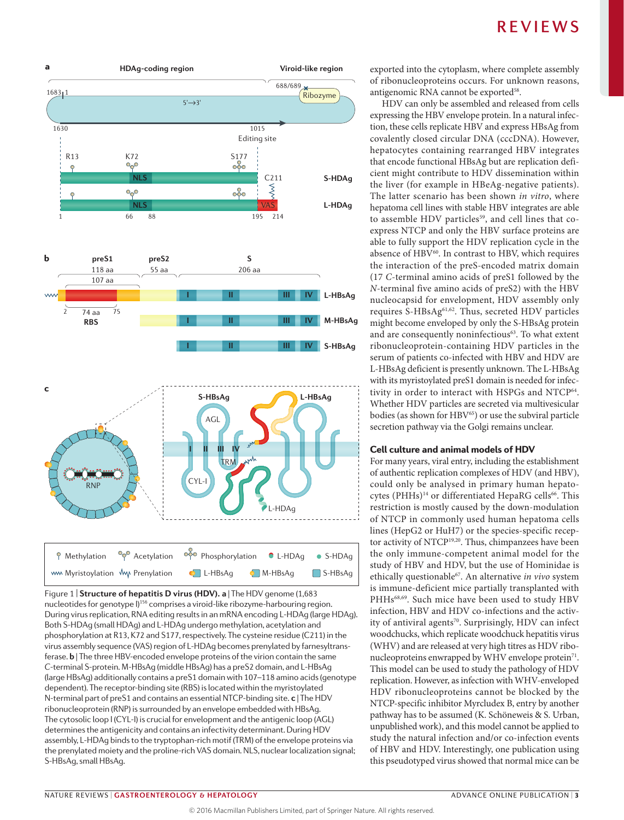

**Nature 21 Castrology & Hepatology** B 11 Castro Castrology Anderson Castro 21,000<br>nucleotides for genotype I)<sup>156</sup> comprises a viroid-like ribozyme-harbouring region. Figure 1 | **Structure of hepatitis D virus (HDV). a** | The HDV genome (1,683 During virus replication, RNA editing results in an mRNA encoding L-HDAg (large HDAg). Both S-HDAg (small HDAg) and L-HDAg undergo methylation, acetylation and phosphorylation at R13, K72 and S177, respectively. The cysteine residue (C211) in the virus assembly sequence (VAS) region of L-HDAg becomes prenylated by farnesyltransferase. **b** | The three HBV-encoded envelope proteins of the virion contain the same *C*-terminal S-protein. M-HBsAg (middle HBsAg) has a preS2 domain, and L-HBsAg (large HBsAg) additionally contains a preS1 domain with 107–118 amino acids (genotype dependent). The receptor-binding site (RBS) is located within the myristoylated N‑terminal part of preS1 and contains an essential NTCP-binding site. **c** | The HDV ribonucleoprotein (RNP) is surrounded by an envelope embedded with HBsAg. The cytosolic loop I (CYL‑I) is crucial for envelopment and the antigenic loop (AGL) determines the antigenicity and contains an infectivity determinant. During HDV assembly, L-HDAg binds to the tryptophan-rich motif (TRM) of the envelope proteins via the prenylated moiety and the proline-rich VAS domain. NLS, nuclear localization signal; S-HBsAg, small HBsAg.

exported into the cytoplasm, where complete assembly of ribonucleoproteins occurs. For unknown reasons, antigenomic RNA cannot be exported<sup>58</sup>.

HDV can only be assembled and released from cells expressing the HBV envelope protein. In a natural infection, these cells replicate HBV and express HBsAg from covalently closed circular DNA (cccDNA). However, hepatocytes containing rearranged HBV integrates that encode functional HBsAg but are replication deficient might contribute to HDV dissemination within the liver (for example in HBeAg-negative patients). The latter scenario has been shown *in vitro*, where hepatoma cell lines with stable HBV integrates are able to assemble HDV particles<sup>59</sup>, and cell lines that coexpress NTCP and only the HBV surface proteins are able to fully support the HDV replication cycle in the absence of HBV<sup>60</sup>. In contrast to HBV, which requires the interaction of the preS-encoded matrix domain (17 *C*-terminal amino acids of preS1 followed by the *N*-terminal five amino acids of preS2) with the HBV nucleocapsid for envelopment, HDV assembly only requires S-HBsAg<sup>61,62</sup>. Thus, secreted HDV particles might become enveloped by only the S-HBsAg protein and are consequently noninfectious<sup>63</sup>. To what extent ribonucleoprotein-containing HDV particles in the serum of patients co-infected with HBV and HDV are L-HBsAg deficient is presently unknown. The L-HBsAg with its myristoylated preS1 domain is needed for infectivity in order to interact with HSPGs and NTCP<sup>64</sup>. Whether HDV particles are secreted via multivesicular bodies (as shown for HBV<sup>65</sup>) or use the subviral particle secretion pathway via the Golgi remains unclear.

#### Cell culture and animal models of HDV

For many years, viral entry, including the establishment of authentic replication complexes of HDV (and HBV), could only be analysed in primary human hepatocytes (PHHs)<sup>14</sup> or differentiated HepaRG cells<sup>66</sup>. This restriction is mostly caused by the down-modulation of NTCP in commonly used human hepatoma cells lines (HepG2 or HuH7) or the species-specific receptor activity of NTCP<sup>19,20</sup>. Thus, chimpanzees have been the only immune-competent animal model for the study of HBV and HDV, but the use of Hominidae is ethically questionable<sup>67</sup>. An alternative *in vivo* system is immune-deficient mice partially transplanted with PHHs68,69. Such mice have been used to study HBV infection, HBV and HDV co-infections and the activity of antiviral agents<sup>70</sup>. Surprisingly, HDV can infect woodchucks, which replicate woodchuck hepatitis virus (WHV) and are released at very high titres as HDV ribonucleoproteins enwrapped by WHV envelope protein<sup>71</sup>. This model can be used to study the pathology of HDV replication. However, as infection with WHV-enveloped HDV ribonucleoproteins cannot be blocked by the NTCP-specific inhibitor Myrcludex B, entry by another pathway has to be assumed (K. Schöneweis & S. Urban, unpublished work), and this model cannot be applied to study the natural infection and/or co-infection events of HBV and HDV. Interestingly, one publication using this pseudotyped virus showed that normal mice can be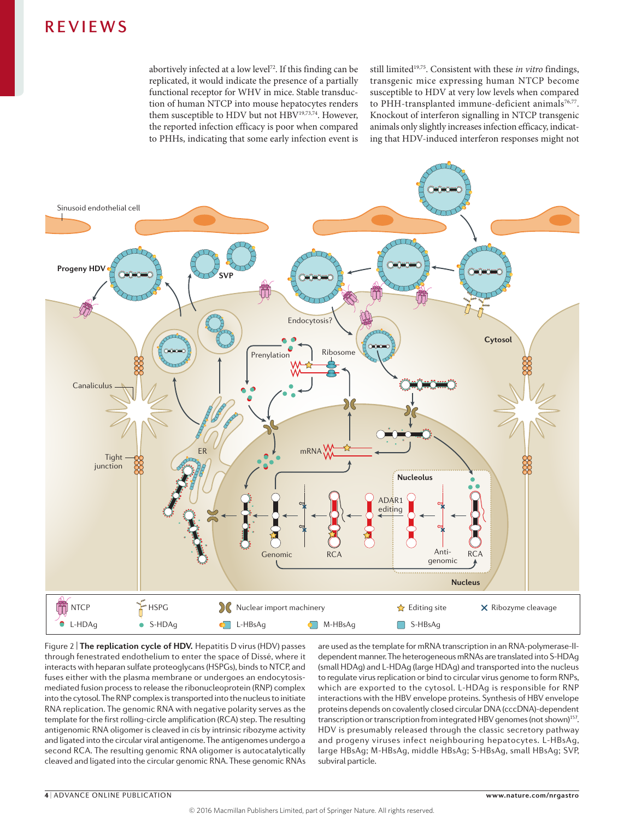abortively infected at a low level<sup>72</sup>. If this finding can be replicated, it would indicate the presence of a partially functional receptor for WHV in mice. Stable transduction of human NTCP into mouse hepatocytes renders them susceptible to HDV but not HBV<sup>19,73,74</sup>. However, the reported infection efficacy is poor when compared to PHHs, indicating that some early infection event is still limited<sup>19,75</sup>. Consistent with these *in vitro* findings, transgenic mice expressing human NTCP become susceptible to HDV at very low levels when compared to PHH-transplanted immune-deficient animals<sup>76,77</sup>. Knockout of interferon signalling in NTCP transgenic animals only slightly increases infection efficacy, indicating that HDV-induced interferon responses might not



Figure 2 | **The replication cycle of HDV.** Hepatitis D virus (HDV) passes through fenestrated endothelium to enter the space of Dissé, where it interacts with heparan sulfate proteoglycans (HSPGs), binds to NTCP, and fuses either with the plasma membrane or undergoes an endocytosismediated fusion process to release the ribonucleoprotein (RNP) complex into the cytosol. The RNP complex is transported into the nucleus to initiate RNA replication. The genomic RNA with negative polarity serves as the template for the first rolling-circle amplification (RCA) step. The resulting antigenomic RNA oligomer is cleaved in *cis* by intrinsic ribozyme activity and ligated into the circular viral antigenome. The antigenomes undergo a second RCA. The resulting genomic RNA oligomer is autocatalytically cleaved and ligated into the circular genomic RNA. These genomic RNAs

dependent manner. The heterogeneous mRNAs are translated into S-HDAg are used as the template for mRNA transcription in an RNA-polymerase-II-(small HDAg) and L-HDAg (large HDAg) and transported into the nucleus to regulate virus replication or bind to circular virus genome to form RNPs, which are exported to the cytosol. L-HDAg is responsible for RNP interactions with the HBV envelope proteins. Synthesis of HBV envelope proteins depends on covalently closed circular DNA (cccDNA)-dependent transcription or transcription from integrated HBV genomes (not shown)<sup>157</sup>. HDV is presumably released through the classic secretory pathway and progeny viruses infect neighbouring hepatocytes. L-HBsAg, large HBsAg; M-HBsAg, middle HBsAg; S-HBsAg, small HBsAg; SVP, subviral particle.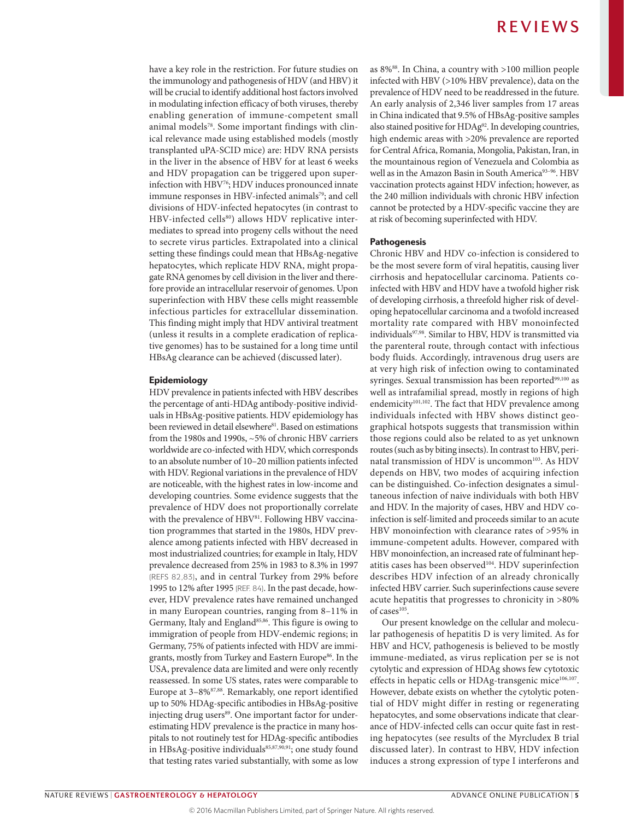have a key role in the restriction. For future studies on the immunology and pathogenesis of HDV (and HBV) it will be crucial to identify additional host factors involved in modulating infection efficacy of both viruses, thereby enabling generation of immune-competent small animal models78. Some important findings with clinical relevance made using established models (mostly transplanted uPA-SCID mice) are: HDV RNA persists in the liver in the absence of HBV for at least 6 weeks and HDV propagation can be triggered upon superinfection with HBV76; HDV induces pronounced innate immune responses in HBV-infected animals<sup>79</sup>; and cell divisions of HDV-infected hepatocytes (in contrast to HBV-infected cells<sup>80</sup>) allows HDV replicative intermediates to spread into progeny cells without the need to secrete virus particles. Extrapolated into a clinical setting these findings could mean that HBsAg-negative hepatocytes, which replicate HDV RNA, might propagate RNA genomes by cell division in the liver and therefore provide an intracellular reservoir of genomes. Upon superinfection with HBV these cells might reassemble infectious particles for extracellular dissemination. This finding might imply that HDV antiviral treatment (unless it results in a complete eradication of replicative genomes) has to be sustained for a long time until HBsAg clearance can be achieved (discussed later).

#### Epidemiology

HDV prevalence in patients infected with HBV describes the percentage of anti-HDAg antibody-positive individuals in HBsAg-positive patients. HDV epidemiology has been reviewed in detail elsewhere<sup>81</sup>. Based on estimations from the 1980s and 1990s, ~5% of chronic HBV carriers worldwide are co-infected with HDV, which corresponds to an absolute number of 10–20 million patients infected with HDV. Regional variations in the prevalence of HDV are noticeable, with the highest rates in low-income and developing countries. Some evidence suggests that the prevalence of HDV does not proportionally correlate with the prevalence of HBV<sup>81</sup>. Following HBV vaccination programmes that started in the 1980s, HDV prevalence among patients infected with HBV decreased in most industrialized countries; for example in Italy, HDV prevalence decreased from 25% in 1983 to 8.3% in 1997 (REFS 82,83), and in central Turkey from 29% before 1995 to 12% after 1995 (REF. 84). In the past decade, however, HDV prevalence rates have remained unchanged in many European countries, ranging from 8–11% in Germany, Italy and England<sup>85,86</sup>. This figure is owing to immigration of people from HDV-endemic regions; in Germany, 75% of patients infected with HDV are immigrants, mostly from Turkey and Eastern Europe<sup>86</sup>. In the USA, prevalence data are limited and were only recently reassessed. In some US states, rates were comparable to Europe at 3–8%87,88. Remarkably, one report identified up to 50% HDAg-specific antibodies in HBsAg-positive injecting drug users<sup>89</sup>. One important factor for underestimating HDV prevalence is the practice in many hospitals to not routinely test for HDAg-specific antibodies in HBsAg-positive individuals<sup>85,87,90,91</sup>; one study found that testing rates varied substantially, with some as low

as 8%88. In China, a country with >100 million people infected with HBV (>10% HBV prevalence), data on the prevalence of HDV need to be readdressed in the future. An early analysis of 2,346 liver samples from 17 areas in China indicated that 9.5% of HBsAg-positive samples also stained positive for HDAg92. In developing countries, high endemic areas with >20% prevalence are reported for Central Africa, Romania, Mongolia, Pakistan, Iran, in the mountainous region of Venezuela and Colombia as well as in the Amazon Basin in South America<sup>93-96</sup>. HBV vaccination protects against HDV infection; however, as the 240 million individuals with chronic HBV infection cannot be protected by a HDV-specific vaccine they are at risk of becoming superinfected with HDV.

#### Pathogenesis

Chronic HBV and HDV co-infection is considered to be the most severe form of viral hepatitis, causing liver cirrhosis and hepatocellular carcinoma. Patients coinfected with HBV and HDV have a twofold higher risk of developing cirrhosis, a threefold higher risk of developing hepatocellular carcinoma and a twofold increased mortality rate compared with HBV monoinfected individuals97,98. Similar to HBV, HDV is transmitted via the parenteral route, through contact with infectious body fluids. Accordingly, intravenous drug users are at very high risk of infection owing to contaminated syringes. Sexual transmission has been reported<sup>99,100</sup> as well as intrafamilial spread, mostly in regions of high endemicity<sup>101,102</sup>. The fact that HDV prevalence among individuals infected with HBV shows distinct geographical hotspots suggests that transmission within those regions could also be related to as yet unknown routes (such as by biting insects). In contrast to HBV, perinatal transmission of HDV is uncommon<sup>103</sup>. As HDV depends on HBV, two modes of acquiring infection can be distinguished. Co-infection designates a simultaneous infection of naive individuals with both HBV and HDV. In the majority of cases, HBV and HDV coinfection is self-limited and proceeds similar to an acute HBV monoinfection with clearance rates of >95% in immune-competent adults. However, compared with HBV monoinfection, an increased rate of fulminant hepatitis cases has been observed<sup>104</sup>. HDV superinfection describes HDV infection of an already chronically infected HBV carrier. Such superinfections cause severe acute hepatitis that progresses to chronicity in >80% of cases<sup>105</sup>.

Our present knowledge on the cellular and molecular pathogenesis of hepatitis D is very limited. As for HBV and HCV, pathogenesis is believed to be mostly immune-mediated, as virus replication per se is not cytolytic and expression of HDAg shows few cytotoxic effects in hepatic cells or HDAg-transgenic mice<sup>106,107</sup>. However, debate exists on whether the cytolytic potential of HDV might differ in resting or regenerating hepatocytes, and some observations indicate that clearance of HDV-infected cells can occur quite fast in resting hepatocytes (see results of the Myrcludex B trial discussed later). In contrast to HBV, HDV infection induces a strong expression of type I interferons and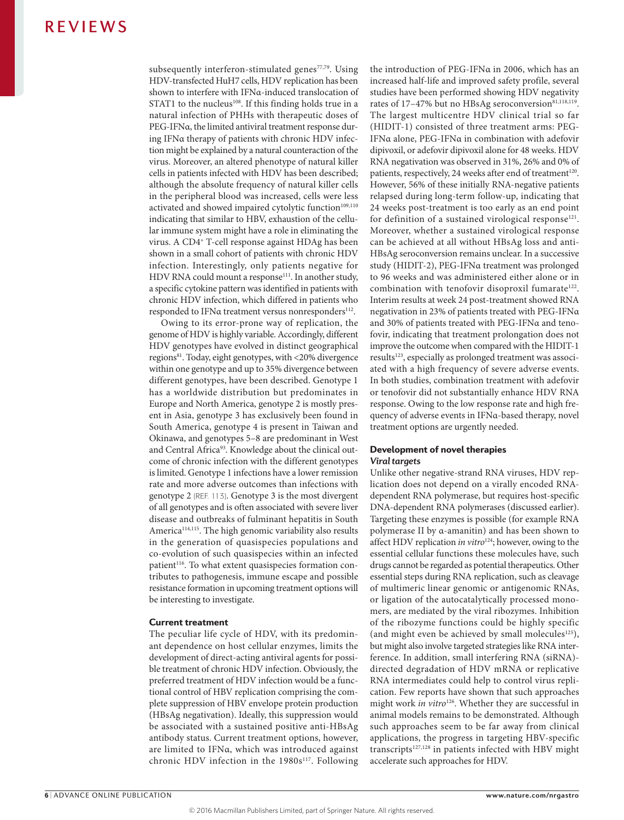subsequently interferon-stimulated genes<sup>77,79</sup>. Using HDV-transfected HuH7 cells, HDV replication has been shown to interfere with IFNα-induced translocation of STAT1 to the nucleus<sup>108</sup>. If this finding holds true in a natural infection of PHHs with therapeutic doses of PEG-IFNα, the limited antiviral treatment response during IFNα therapy of patients with chronic HDV infection might be explained by a natural counteraction of the virus. Moreover, an altered phenotype of natural killer cells in patients infected with HDV has been described; although the absolute frequency of natural killer cells in the peripheral blood was increased, cells were less activated and showed impaired cytolytic function<sup>109,110</sup> indicating that similar to HBV, exhaustion of the cellular immune system might have a role in eliminating the virus. A CD4+ T-cell response against HDAg has been shown in a small cohort of patients with chronic HDV infection. Interestingly, only patients negative for HDV RNA could mount a response<sup>111</sup>. In another study, a specific cytokine pattern was identified in patients with chronic HDV infection, which differed in patients who responded to IFNα treatment versus nonresponders<sup>112</sup>.

Owing to its error-prone way of replication, the genome of HDV is highly variable. Accordingly, different HDV genotypes have evolved in distinct geographical regions<sup>81</sup>. Today, eight genotypes, with <20% divergence within one genotype and up to 35% divergence between different genotypes, have been described. Genotype 1 has a worldwide distribution but predominates in Europe and North America, genotype 2 is mostly present in Asia, genotype 3 has exclusively been found in South America, genotype 4 is present in Taiwan and Okinawa, and genotypes 5–8 are predominant in West and Central Africa<sup>93</sup>. Knowledge about the clinical outcome of chronic infection with the different genotypes is limited. Genotype 1 infections have a lower remission rate and more adverse outcomes than infections with genotype 2 (REF. 113). Genotype 3 is the most divergent of all genotypes and is often associated with severe liver disease and outbreaks of fulminant hepatitis in South America<sup>114,115</sup>. The high genomic variability also results in the generation of quasispecies populations and co-evolution of such quasispecies within an infected patient<sup>116</sup>. To what extent quasispecies formation contributes to pathogenesis, immune escape and possible resistance formation in upcoming treatment options will be interesting to investigate.

#### Current treatment

The peculiar life cycle of HDV, with its predominant dependence on host cellular enzymes, limits the development of direct-acting antiviral agents for possible treatment of chronic HDV infection. Obviously, the preferred treatment of HDV infection would be a functional control of HBV replication comprising the complete suppression of HBV envelope protein production (HBsAg negativation). Ideally, this suppression would be associated with a sustained positive anti-HBsAg antibody status. Current treatment options, however, are limited to IFNα, which was introduced against chronic HDV infection in the 1980s<sup>117</sup>. Following the introduction of PEG-IFNα in 2006, which has an increased half-life and improved safety profile, several studies have been performed showing HDV negativity rates of 17-47% but no HBsAg seroconversion<sup>81,118,119</sup>. The largest multicentre HDV clinical trial so far (HIDIT-1) consisted of three treatment arms: PEG-IFNα alone, PEG-IFNα in combination with adefovir dipivoxil, or adefovir dipivoxil alone for 48 weeks. HDV RNA negativation was observed in 31%, 26% and 0% of patients, respectively, 24 weeks after end of treatment<sup>120</sup>. However, 56% of these initially RNA-negative patients relapsed during long-term follow-up, indicating that 24 weeks post-treatment is too early as an end point for definition of a sustained virological response $121$ . Moreover, whether a sustained virological response can be achieved at all without HBsAg loss and anti-HBsAg seroconversion remains unclear. In a successive study (HIDIT-2), PEG-IFNα treatment was prolonged to 96 weeks and was administered either alone or in combination with tenofovir disoproxil fumarate<sup>122</sup>. Interim results at week 24 post-treatment showed RNA negativation in 23% of patients treated with PEG-IFNα and 30% of patients treated with PEG-IFNα and tenofovir, indicating that treatment prolongation does not improve the outcome when compared with the HIDIT-1 results<sup>123</sup>, especially as prolonged treatment was associated with a high frequency of severe adverse events. In both studies, combination treatment with adefovir or tenofovir did not substantially enhance HDV RNA response. Owing to the low response rate and high frequency of adverse events in IFNα-based therapy, novel treatment options are urgently needed.

#### Development of novel therapies *Viral targets*

Unlike other negative-strand RNA viruses, HDV replication does not depend on a virally encoded RNAdependent RNA polymerase, but requires host-specific DNA-dependent RNA polymerases (discussed earlier). Targeting these enzymes is possible (for example RNA polymerase II by α-amanitin) and has been shown to affect HDV replication *in vitro*124; however, owing to the essential cellular functions these molecules have, such drugs cannot be regarded as potential therapeutics. Other essential steps during RNA replication, such as cleavage of multimeric linear genomic or antigenomic RNAs, or ligation of the autocatalytically processed monomers, are mediated by the viral ribozymes. Inhibition of the ribozyme functions could be highly specific (and might even be achieved by small molecules<sup>125</sup>), but might also involve targeted strategies like RNA interference. In addition, small interfering RNA (siRNA) directed degradation of HDV mRNA or replicative RNA intermediates could help to control virus replication. Few reports have shown that such approaches might work *in vitro*126. Whether they are successful in animal models remains to be demonstrated. Although such approaches seem to be far away from clinical applications, the progress in targeting HBV-specific transcripts $127,128$  in patients infected with HBV might accelerate such approaches for HDV.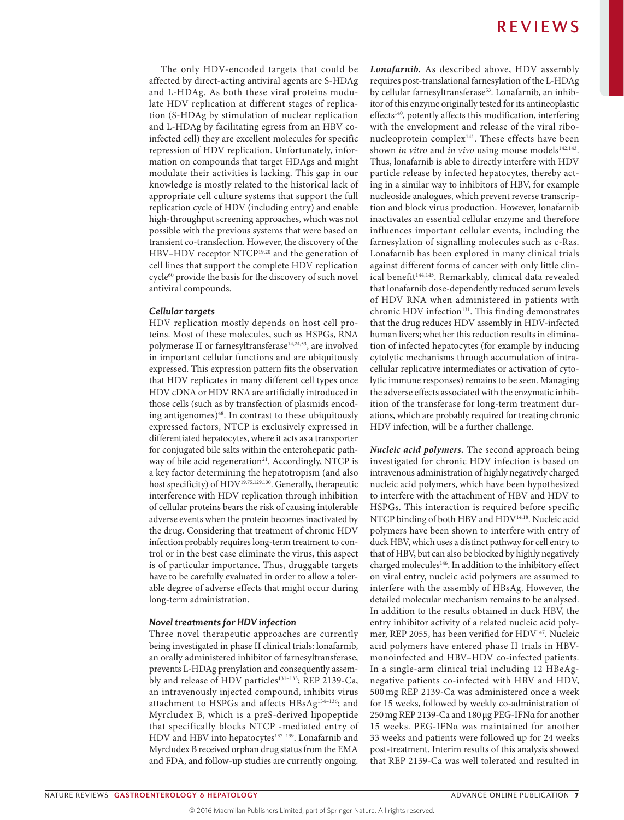The only HDV-encoded targets that could be affected by direct-acting antiviral agents are S-HDAg and L-HDAg. As both these viral proteins modulate HDV replication at different stages of replication (S-HDAg by stimulation of nuclear replication and L-HDAg by facilitating egress from an HBV coinfected cell) they are excellent molecules for specific repression of HDV replication. Unfortunately, information on compounds that target HDAgs and might modulate their activities is lacking. This gap in our knowledge is mostly related to the historical lack of appropriate cell culture systems that support the full replication cycle of HDV (including entry) and enable high-throughput screening approaches, which was not possible with the previous systems that were based on transient co-transfection. However, the discovery of the HBV–HDV receptor NTCP19,20 and the generation of cell lines that support the complete HDV replication cycle<sup>60</sup> provide the basis for the discovery of such novel antiviral compounds.

#### *Cellular targets*

HDV replication mostly depends on host cell proteins. Most of these molecules, such as HSPGs, RNA polymerase II or farnesyltransferase<sup>14,24,53</sup>, are involved in important cellular functions and are ubiquitously expressed. This expression pattern fits the observation that HDV replicates in many different cell types once HDV cDNA or HDV RNA are artificially introduced in those cells (such as by transfection of plasmids encoding antigenomes)<sup>48</sup>. In contrast to these ubiquitously expressed factors, NTCP is exclusively expressed in differentiated hepatocytes, where it acts as a transporter for conjugated bile salts within the enterohepatic pathway of bile acid regeneration<sup>21</sup>. Accordingly, NTCP is a key factor determining the hepatotropism (and also host specificity) of HDV19,75,129,130. Generally, therapeutic interference with HDV replication through inhibition of cellular proteins bears the risk of causing intolerable adverse events when the protein becomes inactivated by the drug. Considering that treatment of chronic HDV infection probably requires long-term treatment to control or in the best case eliminate the virus, this aspect is of particular importance. Thus, druggable targets have to be carefully evaluated in order to allow a tolerable degree of adverse effects that might occur during long-term administration.

#### *Novel treatments for HDV infection*

Three novel therapeutic approaches are currently being investigated in phase II clinical trials: lonafarnib, an orally administered inhibitor of farnesyltransferase, prevents L-HDAg prenylation and consequently assembly and release of HDV particles<sup>131-133</sup>; REP 2139-Ca, an intravenously injected compound, inhibits virus attachment to HSPGs and affects HBsAg<sup>134-136</sup>; and Myrcludex B, which is a preS-derived lipopeptide that specifically blocks NTCP -mediated entry of HDV and HBV into hepatocytes<sup>137-139</sup>. Lonafarnib and Myrcludex B received orphan drug status from the EMA and FDA, and follow-up studies are currently ongoing.

*Lonafarnib.* As described above, HDV assembly requires post-translational farnesylation of the L-HDAg by cellular farnesyltransferase<sup>53</sup>. Lonafarnib, an inhibitor of this enzyme originally tested for its antineoplastic effects<sup>140</sup>, potently affects this modification, interfering with the envelopment and release of the viral ribonucleoprotein complex<sup>141</sup>. These effects have been shown *in vitro* and *in vivo* using mouse models<sup>142,143</sup>. Thus, lonafarnib is able to directly interfere with HDV particle release by infected hepatocytes, thereby acting in a similar way to inhibitors of HBV, for example nucleoside analogues, which prevent reverse transcription and block virus production. However, lonafarnib inactivates an essential cellular enzyme and therefore influences important cellular events, including the farnesylation of signalling molecules such as c-Ras. Lonafarnib has been explored in many clinical trials against different forms of cancer with only little clinical benefit<sup>144,145</sup>. Remarkably, clinical data revealed that lonafarnib dose-dependently reduced serum levels of HDV RNA when administered in patients with chronic HDV infection<sup>131</sup>. This finding demonstrates that the drug reduces HDV assembly in HDV-infected human livers; whether this reduction results in elimination of infected hepatocytes (for example by inducing cytolytic mechanisms through accumulation of intracellular replicative intermediates or activation of cytolytic immune responses) remains to be seen. Managing the adverse effects associated with the enzymatic inhibition of the transferase for long-term treatment durations, which are probably required for treating chronic HDV infection, will be a further challenge.

*Nucleic acid polymers.* The second approach being investigated for chronic HDV infection is based on intravenous administration of highly negatively charged nucleic acid polymers, which have been hypothesized to interfere with the attachment of HBV and HDV to HSPGs. This interaction is required before specific NTCP binding of both HBV and HDV<sup>14,18</sup>. Nucleic acid polymers have been shown to interfere with entry of duck HBV, which uses a distinct pathway for cell entry to that of HBV, but can also be blocked by highly negatively charged molecules<sup>146</sup>. In addition to the inhibitory effect on viral entry, nucleic acid polymers are assumed to interfere with the assembly of HBsAg. However, the detailed molecular mechanism remains to be analysed. In addition to the results obtained in duck HBV, the entry inhibitor activity of a related nucleic acid polymer, REP 2055, has been verified for HDV147. Nucleic acid polymers have entered phase II trials in HBVmonoinfected and HBV–HDV co- infected patients. In a single-arm clinical trial including 12 HBeAgnegative patients co-infected with HBV and HDV, 500 mg REP 2139-Ca was administered once a week for 15 weeks, followed by weekly co- administration of 250mg REP 2139-Ca and 180µg PEG-IFNα for another 15 weeks. PEG-IFNα was maintained for another 33 weeks and patients were followed up for 24 weeks post-treatment. Interim results of this analysis showed that REP 2139-Ca was well tolerated and resulted in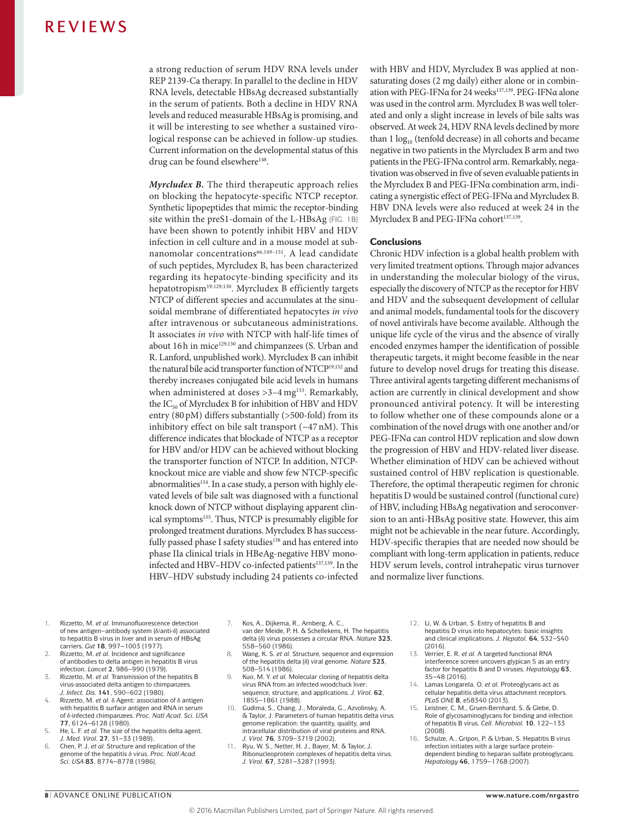a strong reduction of serum HDV RNA levels under REP 2139-Ca therapy. In parallel to the decline in HDV RNA levels, detectable HBsAg decreased substantially in the serum of patients. Both a decline in HDV RNA levels and reduced measurable HBsAg is promising, and it will be interesting to see whether a sustained virological response can be achieved in follow-up studies. Current information on the developmental status of this drug can be found elsewhere<sup>148</sup>.

*Myrcludex B.* The third therapeutic approach relies on blocking the hepatocyte-specific NTCP receptor. Synthetic lipopeptides that mimic the receptor-binding site within the preS1-domain of the L-HBsAg (FIG. 1B) have been shown to potently inhibit HBV and HDV infection in cell culture and in a mouse model at subnanomolar concentrations<sup>66,149-151</sup>. A lead candidate of such peptides, Myrcludex B, has been characterized regarding its hepatocyte-binding specificity and its hepatotropism19,129,130. Myrcludex B efficiently targets NTCP of different species and accumulates at the sinusoidal membrane of differentiated hepatocytes *in vivo* after intravenous or subcutaneous administrations. It associates *in vivo* with NTCP with half-life times of about 16h in mice<sup>129,130</sup> and chimpanzees (S. Urban and R. Lanford, unpublished work). Myrcludex B can inhibit the natural bile acid transporter function of NTCP19,152 and thereby increases conjugated bile acid levels in humans when administered at doses >3-4 mg<sup>153</sup>. Remarkably, the  $IC_{50}$  of Myrcludex B for inhibition of HBV and HDV entry (80pM) differs substantially (>500-fold) from its inhibitory effect on bile salt transport (~47 nM). This difference indicates that blockade of NTCP as a receptor for HBV and/or HDV can be achieved without blocking the transporter function of NTCP. In addition, NTCPknockout mice are viable and show few NTCP-specific abnormalities<sup>154</sup>. In a case study, a person with highly elevated levels of bile salt was diagnosed with a functional knock down of NTCP without displaying apparent clinical symptoms<sup>155</sup>. Thus, NTCP is presumably eligible for prolonged treatment durations. Myrcludex B has successfully passed phase I safety studies<sup>138</sup> and has entered into phase IIa clinical trials in HBeAg-negative HBV monoinfected and HBV-HDV co-infected patients<sup>137,139</sup>. In the HBV–HDV substudy including 24 patients co-infected with HBV and HDV, Myrcludex B was applied at nonsaturating doses (2 mg daily) either alone or in combination with PEG-IFNα for 24 weeks<sup>137,139</sup>. PEG-IFNα alone was used in the control arm. Myrcludex B was well tolerated and only a slight increase in levels of bile salts was observed. At week 24, HDV RNA levels declined by more than  $1 \log_{10}$  (tenfold decrease) in all cohorts and became negative in two patients in the Myrcludex B arm and two patients in the PEG-IFNα control arm. Remarkably, negativation was observed in five of seven evaluable patients in the Myrcludex B and PEG-IFNα combination arm, indicating a synergistic effect of PEG-IFNα and Myrcludex B. HBV DNA levels were also reduced at week 24 in the Myrcludex B and PEG-IFNα cohort<sup>137,139</sup>.

#### **Conclusions**

Chronic HDV infection is a global health problem with very limited treatment options. Through major advances in understanding the molecular biology of the virus, especially the discovery of NTCP as the receptor for HBV and HDV and the subsequent development of cellular and animal models, fundamental tools for the discovery of novel antivirals have become available. Although the unique life cycle of the virus and the absence of virally encoded enzymes hamper the identification of possible therapeutic targets, it might become feasible in the near future to develop novel drugs for treating this disease. Three antiviral agents targeting different mechanisms of action are currently in clinical development and show pronounced antiviral potency. It will be interesting to follow whether one of these compounds alone or a combination of the novel drugs with one another and/or PEG-IFNα can control HDV replication and slow down the progression of HBV and HDV-related liver disease. Whether elimination of HDV can be achieved without sustained control of HBV replication is questionable. Therefore, the optimal therapeutic regimen for chronic hepatitis D would be sustained control (functional cure) of HBV, including HBsAg negativation and seroconversion to an anti-HBsAg positive state. However, this aim might not be achievable in the near future. Accordingly, HDV-specific therapies that are needed now should be compliant with long-term application in patients, reduce HDV serum levels, control intrahepatic virus turnover and normalize liver functions.

- 1. Rizzetto, M. *et al.* Immunofluorescence detection of new antigen–antibody system (δ/anti‑δ) associated to hepatitis B virus in liver and in serum of HBsAg carriers. *Gut* **18**, 997–1003 (1977).
- 2. Rizzetto, M. *et al.* Incidence and significance of antibodies to delta antigen in hepatitis B virus infection. *Lancet* **2**, 986–990 (1979).
- 3. Rizzetto, M. *et al.* Transmission of the hepatitis B virus-associated delta antigen to chimpanzees. *J. Infect. Dis.* **141**, 590–602 (1980).
- 4. Rizzetto, M. *et al.* δ Agent: association of δ antigen with hepatitis B surface antigen and RNA in serum of δ-infected chimpanzees. *Proc. Natl Acad. Sci. USA*  **77**, 6124–6128 (1980).
- 5. He, L. F. *et al.* The size of the hepatitis delta agent. *J. Med. Virol.* **27**, 31–33 (1989).
- 6. Chen, P. J. *et al.* Structure and replication of the genome of the hepatitis δ virus. *Proc. Natl Acad. Sci. USA* **83**, 8774–8778 (1986).
- 7. Kos, A., Dijkema, R., Arnberg, A. C., van der Meide, P. H. & Schellekens, H. The hepatitis delta (δ) virus possesses a circular RNA. *Nature* **323**, 558–560 (1986).
- 8. Wang, K. S. *et al.* Structure, sequence and expression of the hepatitis delta (δ) viral genome. *Nature* **323**, 508–514 (1986).
- 9. Kuo, M. Y. *et al.* Molecular cloning of hepatitis delta virus RNA from an infected woodchuck liver: sequence, structure, and applications. *J. Virol.* **62**, 1855–1861 (1988).
- Gudima, S., Chang, J., Moraleda, G., Azvolinsky, A. & Taylor, J. Parameters of human hepatitis delta virus genome replication: the quantity, quality, and intracellular distribution of viral proteins and RNA. *J. Virol.* **76**, 3709–3719 (2002).
- 11. Ryu, W. S., Netter, H. J., Bayer, M. & Taylor, J. Ribonucleoprotein complexes of hepatitis delta virus. *J. Virol.* **67**, 3281–3287 (1993).
- 12. Li, W. & Urban, S. Entry of hepatitis B and hepatitis D virus into hepatocytes: basic insights and clinical implications. *J. Hepatol.* **64**, S32–S40 (2016).
- 13. Verrier, E. R. *et al.* A targeted functional RNA interference screen uncovers glypican 5 as an entry factor for hepatitis B and D viruses. *Hepatology* **63**, 35–48 (2016).
- 14. Lamas Longarela, O. *et al.* Proteoglycans act as cellular hepatitis delta virus attachment receptors. *PLoS ONE* **8**, e58340 (2013).
- Leistner, C. M., Gruen-Bernhard, S. & Glebe, D. Role of glycosaminoglycans for binding and infection of hepatitis B virus. *Cell. Microbiol.* **10**, 122–133 (2008).
- 16. Schulze, A., Gripon, P. & Urban, S. Hepatitis B virus infection initiates with a large surface proteindependent binding to heparan sulfate proteoglycans. *Hepatology* **46**, 1759–1768 (2007).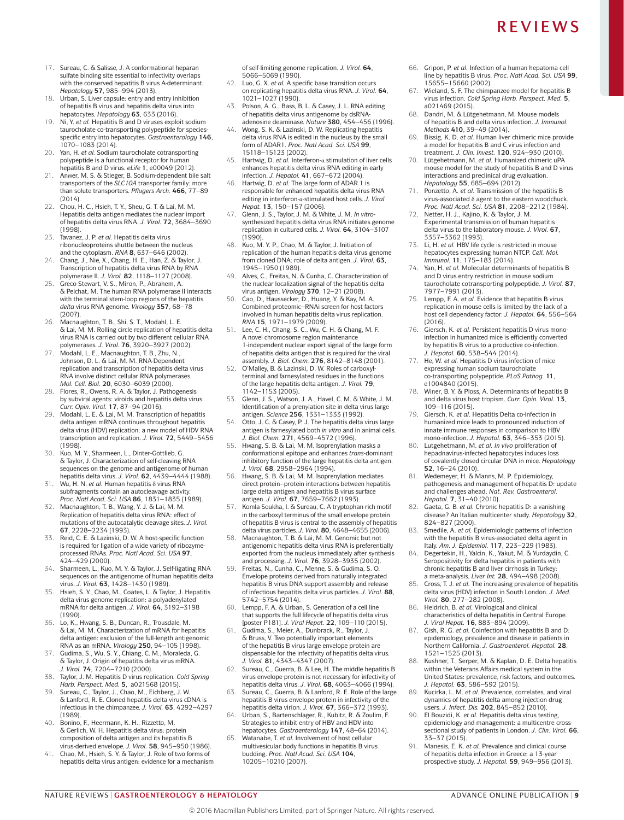- 17. Sureau, C. & Salisse, J. A conformational heparan sulfate binding site essential to infectivity overlaps with the conserved hepatitis B virus A‑determinant. *Hepatology* **57**, 985–994 (2013).
- 18. Urban, S. Liver capsule: entry and entry inhibition of hepatitis B virus and hepatitis delta virus into hepatocytes. *Hepatology* **63**, 633 (2016).
- 19. Ni, Y. *et al.* Hepatitis B and D viruses exploit sodium taurocholate co-transporting polypeptide for species specific entry into hepatocytes. *Gastroenterology* **146**, 1070–1083 (2014).
- 20. Yan, H. *et al.* Sodium taurocholate cotransporting polypeptide is a functional receptor for human hepatitis B and D virus. *eLife* **1**, e00049 (2012).
- 21. Anwer, M. S. & Stieger, B. Sodium-dependent bile salt transporters of the *SLC10A* transporter family: more than solute transporters. *Pflugers Arch.* **466**, 77–89 (2014).
- 22. Chou, H. C., Hsieh, T. Y., Sheu, G. T. & Lai, M. M. Hepatitis delta antigen mediates the nuclear import of hepatitis delta virus RNA. *J. Virol.* **72**, 3684–3690 (1998).
- 23. Tavanez, J. P. *et al.* Hepatitis delta virus ribonucleoproteins shuttle between the nucleus and the cytoplasm. *RNA* **8**, 637–646 (2002).
- 24. Chang, J., Nie, X., Chang, H. E., Han, Z. & Taylor, J. Transcription of hepatitis delta virus RNA by RNA polymerase II. *J. Virol.* **82**, 1118–1127 (2008).
- 25. Greco-Stewart, V. S., Miron, P., Abrahem, A. & Pelchat, M. The human RNA polymerase II interacts with the terminal stem-loop regions of the hepatitis *delta* virus RNA genome. *Virology* **357**, 68–78 (2007).
- Macnaughton, T. B., Shi, S. T., Modahl, L. E. & Lai, M. M. Rolling circle replication of hepatitis delta virus RNA is carried out by two different cellular RNA polymerases. *J. Virol.* **76**, 3920–3927 (2002).
- 27. Modahl, L. E., Macnaughton, T. B., Zhu, N., Johnson, D. L. & Lai, M. M. RNA-Dependent replication and transcription of hepatitis delta virus RNA involve distinct cellular RNA polymerases.
- *Mol. Cell. Biol.* **20**, 6030–6039 (2000).<br>28. Flores, R., Owens, R. A. & Taylor, J. Pathogenesis by subviral agents: viroids and hepatitis delta virus. *Curr. Opin. Virol.* **17**, 87–94 (2016).
- 29. Modahl, L. E. & Lai, M. M. Transcription of hepatitis delta antigen mRNA continues throughout hepatitis delta virus (HDV) replication: a new model of HDV RNA transcription and replication. *J. Virol.* **72**, 5449–5456 (1998).
- 30. Kuo, M. Y., Sharmeen, L., Dinter-Gottlieb, G. & Taylor, J. Characterization of self-cleaving RNA sequences on the genome and antigenome of human hepatitis delta virus. *J. Virol.* **62**, 4439–4444 (1988).
- 31. Wu, H. N. *et al.* Human hepatitis δ virus RNA subfragments contain an autocleavage activity *Proc. Natl Acad. Sci. USA* **86**, 1831–1835 (1989).
- 32. Macnaughton, T. B., Wang, Y. J. & Lai, M. M. Replication of hepatitis delta virus RNA: effect of mutations of the autocatalytic cleavage sites. *J. Virol.*  **67**, 2228–2234 (1993).
- 33. Reid, C. E. & Lazinski, D. W. A host-specific function is required for ligation of a wide variety of ribozymeprocessed RNAs. *Proc. Natl Acad. Sci. USA* **97**, 424–429 (2000).
- 34. Sharmeen, L., Kuo, M. Y. & Taylor, J. Self-ligating RNA sequences on the antigenome of human hepatitis delta virus. *J. Virol.* **63**, 1428–1430 (1989).
- 35. Hsieh, S. Y., Chao, M., Coates, L. & Taylor, J. Hepatitis delta virus genome replication: a polyadenylated mRNA for delta antigen. *J. Virol.* **64**, 3192–3198 (1990).
- 36. Lo, K., Hwang, S. B., Duncan, R., Trousdale, M. & Lai, M. M. Characterization of mRNA for hepatitis delta antigen: exclusion of the full-length antigenomic RNA as an mRNA. *Virology* **250**, 94–105 (1998).
- 37. Gudima, S., Wu, S. Y., Chiang, C. M., Moraleda, G. & Taylor, J. Origin of hepatitis delta virus mRNA. *J. Virol.* **74**, 7204–7210 (2000).
- 38. Taylor, J. M. Hepatitis D virus replication*. Cold Spring Harb. Perspect. Med.* **5**, a021568 (2015). 39. Sureau, C., Taylor, J., Chao, M., Eichberg, J. W.
- & Lanford, R. E. Cloned hepatitis delta virus cDNA is infectious in the chimpanzee. *J. Virol.* **63**, 4292–4297 (1989).
- 40. Bonino, F., Heermann, K. H., Rizzetto, M. & Gerlich, W. H. Hepatitis delta virus: protein composition of delta antigen and its hepatitis B virus‑derived envelope. *J. Virol.* **58**, 945–950 (1986).
- Chao, M., Hsieh, S. Y. & Taylor, J. Role of two forms of hepatitis delta virus antigen: evidence for a mechanism

of self-limiting genome replication. *J. Virol.* **64**, 5066–5069 (1990).

- 42. Luo, G. X. *et al.* A specific base transition occurs on replicating hepatitis delta virus RNA. *J. Virol.* **64**, 1021–1027 (1990).
- 43. Polson, A. G., Bass, B. L. & Casey, J. L. RNA editing of hepatitis delta virus antigenome by dsRNAadenosine deaminase. *Nature* **380**, 454–456 (1996).
- 44. Wong, S. K. & Lazinski, D. W. Replicating hepatitis delta virus RNA is edited in the nucleus by the small form of ADAR1. *Proc. Natl Acad. Sci. USA* **99**, 15118–15123 (2002).
- 45. Hartwig, D. *et al.* Interferon‑α stimulation of liver cells enhances hepatitis delta virus RNA editing in early infection. *J. Hepatol.* **41**, 667–672 (2004).
- 46. Hartwig, D. *et al.* The large form of ADAR 1 is responsible for enhanced hepatitis delta virus RNA editing in interferon-α‑stimulated host cells. *J. Viral Hepat.* **13**, 150–157 (2006).
- 47. Glenn, J. S., Taylor, J. M. & White, J. M. *In vitro*synthesized hepatitis delta virus RNA initiates genome replication in cultured cells. *J. Virol.* **64**, 3104–3107 (1990).
- 48. Kuo, M. Y. P., Chao, M. & Taylor, J. Initiation of replication of the human hepatitis delta virus genome from cloned DNA: role of delta antigen. *J. Virol.* **63**, 1945–1950 (1989).
- Alves, C., Freitas, N. & Cunha, C. Characterization of the nuclear localization signal of the hepatitis delta virus antigen. *Virology* **370**, 12–21 (2008).
- 50. Cao, D., Haussecker, D., Huang, Y. & Kay, M. A. Combined proteomic–RNAi screen for host factors involved in human hepatitis delta virus replication. *RNA* **15**, 1971–1979 (2009).
- 51. Lee, C. H., Chang, S. C., Wu, C. H. & Chang, M. F. A novel chromosome region maintenance 1‑independent nuclear export signal of the large form of hepatitis delta antigen that is required for the viral assembly. *J. Biol. Chem.* **276**, 8142–8148 (2001).
- 52. O'Malley, B. & Lazinski, D. W. Roles of carboxylterminal and farnesylated residues in the functions of the large hepatitis delta antigen. *J. Virol.* **79**, 1142–1153 (2005).
- 53. Glenn, J. S., Watson, J. A., Havel, C. M. & White, J. M. Identification of a prenylation site in delta virus large antigen. *Science* **256**, 1331–1333 (1992).
- 54. Otto, J. C. & Casey, P. J. The hepatitis delta virus large antigen is farnesylated both *in vitro* and in animal cells. *J. Biol. Chem.* **271**, 4569–4572 (1996).
- 55. Hwang, S. B. & Lai, M. M. Isoprenylation masks a conformational epitope and enhances *trans*-dominant inhibitory function of the large hepatitis delta antigen. *J. Virol.* **68**, 2958–2964 (1994).
- 56. Hwang, S. B. & Lai, M. M. Isoprenylation mediates direct protein–protein interactions between hepatitis large delta antigen and hepatitis B virus surface antigen. *J. Virol.* **67**, 7659–7662 (1993).
- 57. Komla-Soukha, I. & Sureau, C. A tryptophan-rich motif in the carboxyl terminus of the small envelope protein of hepatitis B virus is central to the assembly of hepatitis delta virus particles. *J. Virol.* **80**, 4648–4655 (2006).
- 58. Macnaughton, T. B. & Lai, M. M. Genomic but not antigenomic hepatitis delta virus RNA is preferentially exported from the nucleus immediately after synthesis and processing. *J. Virol.* **76**, 3928–3935 (2002).
- 59. Freitas, N., Cunha, C., Menne, S. & Gudima, S. O. Envelope proteins derived from naturally integrated hepatitis B virus DNA support assembly and release of infectious hepatitis delta virus particles. *J. Virol.* **88**, 5742–5754 (2014). 60. Lempp, F. A. & Urban, S. Generation of a cell line
- that supports the full lifecycle of hepatitis delta virus [poster P181]. *J. Viral Hepat.* **22**, 109–110 (2015).
- 61. Gudima, S., Meier, A., Dunbrack, R., Taylor, J. & Bruss, V. Two potentially important elements of the hepatitis B virus large envelope protein are dispensable for the infectivity of hepatitis delta virus. *J. Virol.* **81**, 4343–4347 (2007).
- 62. Sureau, C., Guerra, B. & Lee, H. The middle hepatitis B virus envelope protein is not necessary for infectivity of hepatitis delta virus. *J. Virol.* **68**, 4063–4066 (1994).
- 63. Sureau, C., Guerra, B. & Lanford, R. E. Role of the large hepatitis B virus envelope protein in infectivity of the hepatitis delta virion. *J. Virol.* **67**, 366–372 (1993).
- 64. Urban, S., Bartenschlager, R., Kubitz, R. & Zoulim, F. Strategies to inhibit entry of HBV and HDV into hepatocytes. *Gastroenterology* **147**, 48–64 (2014).
- 65. Watanabe, T. *et al.* Involvement of host cellular multivesicular body functions in hepatitis B virus budding. *Proc. Natl Acad. Sci. USA* **104**, 10205–10210 (2007).
- 66. Gripon, P. *et al.* Infection of a human hepatoma cell line by hepatitis B virus. *Proc. Natl Acad. Sci. USA* **99**, 15655–15660 (2002).
- 67. Wieland, S. F. The chimpanzee model for hepatitis B virus infection. *Cold Spring Harb. Perspect. Med.* **5**, a021469 (2015).
- Dandri, M. & Lütgehetmann, M. Mouse models of hepatitis B and delta virus infection. *J. Immunol. Methods* **410**, 39–49 (2014).
- 69. Bissig, K. D. *et al.* Human liver chimeric mice provide a model for hepatitis B and C virus infection and treatment. *J. Clin. Invest.* **120**, 924–930 (2010).
- 70. Lütgehetmann, M. *et al.* Humanized chimeric uPA mouse model for the study of hepatitis B and D virus interactions and preclinical drug evaluation. *Hepatology* **55**, 685–694 (2012).
- Ponzetto, A. *et al.* Transmission of the hepatitis B virus-associated δ agent to the eastern woodchuck. *Proc. Natl Acad. Sci. USA* **81**, 2208–2212 (1984).
- 72. Netter, H. J., Kajino, K. & Taylor, J. M. Experimental transmission of human hepatitis delta virus to the laboratory mouse. *J. Virol.* **67**, 3357–3362 (1993).
- Li, H. *et al.* HBV life cycle is restricted in mouse hepatocytes expressing human NTCP. *Cell. Mol. Immunol.* **11**, 175–183 (2014).
- Yan, H. *et al.* Molecular determinants of hepatitis B and D virus entry restriction in mouse sodium taurocholate cotransporting polypeptide. *J. Virol.* **87**, 7977–7991 (2013).
- 75. Lempp, F. A. *et al.* Evidence that hepatitis B virus replication in mouse cells is limited by the lack of a host cell dependency factor. *J. Hepatol.* **64**, 556–564  $(2016)$
- 76. Giersch, K. *et al.* Persistent hepatitis D virus monoinfection in humanized mice is efficiently converted by hepatitis B virus to a productive co‑infection. *J. Hepatol.* **60**, 538–544 (2014).
- 77. He, W. *et al.* Hepatitis D virus infection of mice expressing human sodium taurocholate co‑transporting polypeptide. *PLoS Pathog.* **11**, e1004840 (2015).
- 78. Winer, B. Y. & Ploss, A. Determinants of hepatitis B and delta virus host tropism. *Curr. Opin. Virol.* **13**, 109–116 (2015).
- 79. Giersch, K. *et al.* Hepatitis Delta co‑infection in humanized mice leads to pronounced induction of innate immune responses in comparison to HBV mono-infection. *J. Hepatol.* **63**, 346–353 (2015).
- Lutgehetmann, M. *et al. In vivo* proliferation of hepadnavirus-infected hepatocytes induces loss of covalently closed circular DNA in mice. *Hepatology*  **52**, 16–24 (2010).
- 81. Wedemeyer, H. & Manns, M. P. Epidemiology, pathogenesis and management of hepatitis D: update and challenges ahead. *Nat. Rev. Gastroenterol. Hepatol.* **7**, 31–40 (2010).
- 82. Gaeta, G. B. *et al.* Chronic hepatitis D: a vanishing disease? An Italian multicenter study. *Hepatology* **32**, 824–827 (2000).
- Smedile, A. *et al.* Epidemiologic patterns of infection with the hepatitis B virus-associated delta agent in Italy. *Am. J. Epidemiol.* **117**, 223–229 (1983).
- 84. Degertekin, H., Yalcin, K., Yakut, M. & Yurdaydin, C. Seropositivity for delta hepatitis in patients with chronic hepatitis B and liver cirrhosis in Turkey: a meta-analysis. *Liver Int.* **28**, 494–498 (2008).
- 85. Cross, T. J. *et al.* The increasing prevalence of hepatitis delta virus (HDV) infection in South London. *J. Med. Virol.* **80**, 277–282 (2008).
- 86. Heidrich, B. *et al.* Virological and clinical characteristics of delta hepatitis in Central Europe. *J. Viral Hepat.* **16**, 883–894 (2009).
- 87. Gish, R. G. *et al.* Coinfection with hepatitis B and D: epidemiology, prevalence and disease in patients in Northern California. *J. Gastroenterol. Hepatol.* **28**, 1521–1525 (2013).
- Kushner, T., Serper, M. & Kaplan, D. E. Delta hepatitis within the Veterans Affairs medical system in the United States: prevalence, risk factors, and outcomes. *J. Hepatol.* **63**, 586–592 (2015).
- 89. Kucirka, L. M. *et al.* Prevalence, correlates, and viral dynamics of hepatitis delta among injection drug users. *J. Infect. Dis.* **202**, 845–852 (2010).
- 90. El Bouzidi, K. *et al.* Hepatitis delta virus testing, epidemiology and management: a multicentre crosssectional study of patients in London. *J. Clin. Virol.* **66**, 33–37 (2015).
- 91. Manesis, E. K. *et al.* Prevalence and clinical course of hepatitis delta infection in Greece: a 13‑year prospective study. *J. Hepatol.* **59**, 949–956 (2013).